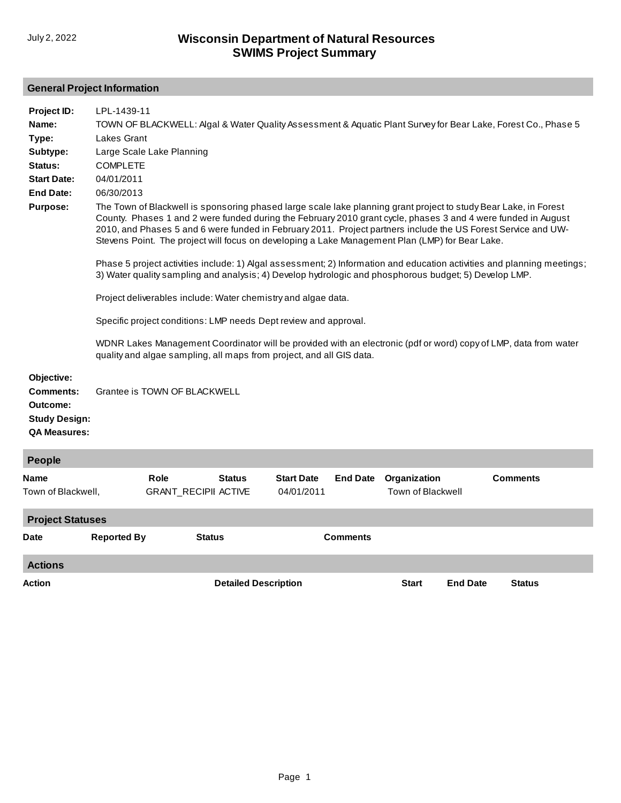## **General Project Information**

| Project ID:<br>Name:<br>Type:<br>Subtype:                                          | LPL-1439-11<br>TOWN OF BLACKWELL: Algal & Water Quality Assessment & Aquatic Plant Survey for Bear Lake, Forest Co., Phase 5<br><b>Lakes Grant</b><br>Large Scale Lake Planning                                                                                                                                                                                                                                                                      |                                     |               |                                 |                 |                                          |                 |  |  |
|------------------------------------------------------------------------------------|------------------------------------------------------------------------------------------------------------------------------------------------------------------------------------------------------------------------------------------------------------------------------------------------------------------------------------------------------------------------------------------------------------------------------------------------------|-------------------------------------|---------------|---------------------------------|-----------------|------------------------------------------|-----------------|--|--|
| Status:<br><b>Start Date:</b><br><b>End Date:</b><br><b>Purpose:</b>               | <b>COMPLETE</b><br>04/01/2011<br>06/30/2013<br>The Town of Blackwell is sponsoring phased large scale lake planning grant project to study Bear Lake, in Forest<br>County. Phases 1 and 2 were funded during the February 2010 grant cycle, phases 3 and 4 were funded in August                                                                                                                                                                     |                                     |               |                                 |                 |                                          |                 |  |  |
|                                                                                    | 2010, and Phases 5 and 6 were funded in February 2011. Project partners include the US Forest Service and UW-<br>Stevens Point. The project will focus on developing a Lake Management Plan (LMP) for Bear Lake.<br>Phase 5 project activities include: 1) Algal assessment; 2) Information and education activities and planning meetings;<br>3) Water quality sampling and analysis; 4) Develop hydrologic and phosphorous budget; 5) Develop LMP. |                                     |               |                                 |                 |                                          |                 |  |  |
|                                                                                    | Project deliverables include: Water chemistry and algae data.                                                                                                                                                                                                                                                                                                                                                                                        |                                     |               |                                 |                 |                                          |                 |  |  |
|                                                                                    | Specific project conditions: LMP needs Dept review and approval.                                                                                                                                                                                                                                                                                                                                                                                     |                                     |               |                                 |                 |                                          |                 |  |  |
|                                                                                    | WDNR Lakes Management Coordinator will be provided with an electronic (pdf or word) copy of LMP, data from water<br>quality and algae sampling, all maps from project, and all GIS data.                                                                                                                                                                                                                                                             |                                     |               |                                 |                 |                                          |                 |  |  |
| Objective:<br>Comments:<br>Outcome:<br><b>Study Design:</b><br><b>QA Measures:</b> | Grantee is TOWN OF BLACKWELL                                                                                                                                                                                                                                                                                                                                                                                                                         |                                     |               |                                 |                 |                                          |                 |  |  |
| People                                                                             |                                                                                                                                                                                                                                                                                                                                                                                                                                                      |                                     |               |                                 |                 |                                          |                 |  |  |
| Name<br>Town of Blackwell,                                                         |                                                                                                                                                                                                                                                                                                                                                                                                                                                      | Role<br><b>GRANT_RECIPII ACTIVE</b> | <b>Status</b> | <b>Start Date</b><br>04/01/2011 | <b>End Date</b> | Organization<br><b>Town of Blackwell</b> | <b>Comments</b> |  |  |
| <b>Project Statuses</b>                                                            |                                                                                                                                                                                                                                                                                                                                                                                                                                                      |                                     |               |                                 |                 |                                          |                 |  |  |
| <b>Date</b>                                                                        | <b>Reported By</b>                                                                                                                                                                                                                                                                                                                                                                                                                                   | <b>Status</b>                       |               |                                 | <b>Comments</b> |                                          |                 |  |  |

**Actions Action Detailed Description Start End Date Status**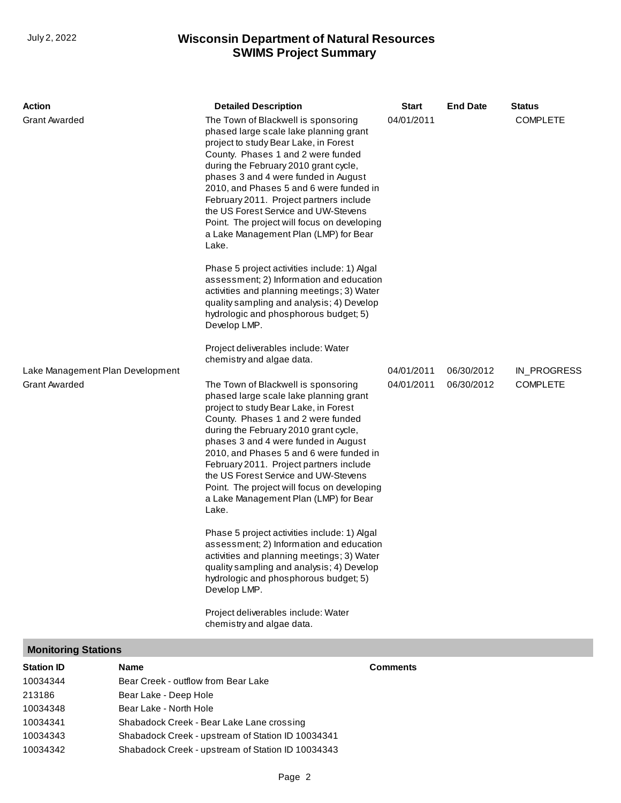### **SWIMS Project Summary** July 2, 2022 **Wisconsin Department of Natural Resources**

| <b>Action</b>                                            |      | <b>Detailed Description</b>                                                                                                                                                                                                                                                                                                                                                                                                                                                                                                                                                                                                                                                                                                                                                                      | <b>Start</b>             | <b>End Date</b>          | Status                         |
|----------------------------------------------------------|------|--------------------------------------------------------------------------------------------------------------------------------------------------------------------------------------------------------------------------------------------------------------------------------------------------------------------------------------------------------------------------------------------------------------------------------------------------------------------------------------------------------------------------------------------------------------------------------------------------------------------------------------------------------------------------------------------------------------------------------------------------------------------------------------------------|--------------------------|--------------------------|--------------------------------|
| <b>Grant Awarded</b>                                     |      | The Town of Blackwell is sponsoring<br>phased large scale lake planning grant<br>project to study Bear Lake, in Forest<br>County. Phases 1 and 2 were funded<br>during the February 2010 grant cycle,<br>phases 3 and 4 were funded in August<br>2010, and Phases 5 and 6 were funded in<br>February 2011. Project partners include<br>the US Forest Service and UW-Stevens<br>Point. The project will focus on developing<br>a Lake Management Plan (LMP) for Bear<br>Lake.<br>Phase 5 project activities include: 1) Algal<br>assessment; 2) Information and education<br>activities and planning meetings; 3) Water<br>quality sampling and analysis; 4) Develop<br>hydrologic and phosphorous budget; 5)<br>Develop LMP.                                                                     | 04/01/2011               |                          | <b>COMPLETE</b>                |
|                                                          |      | Project deliverables include: Water<br>chemistry and algae data.                                                                                                                                                                                                                                                                                                                                                                                                                                                                                                                                                                                                                                                                                                                                 |                          |                          |                                |
| Lake Management Plan Development<br><b>Grant Awarded</b> |      | The Town of Blackwell is sponsoring<br>phased large scale lake planning grant<br>project to study Bear Lake, in Forest<br>County. Phases 1 and 2 were funded<br>during the February 2010 grant cycle,<br>phases 3 and 4 were funded in August<br>2010, and Phases 5 and 6 were funded in<br>February 2011. Project partners include<br>the US Forest Service and UW-Stevens<br>Point. The project will focus on developing<br>a Lake Management Plan (LMP) for Bear<br>Lake.<br>Phase 5 project activities include: 1) Algal<br>assessment; 2) Information and education<br>activities and planning meetings; 3) Water<br>quality sampling and analysis; 4) Develop<br>hydrologic and phosphorous budget; 5)<br>Develop LMP.<br>Project deliverables include: Water<br>chemistry and algae data. | 04/01/2011<br>04/01/2011 | 06/30/2012<br>06/30/2012 | IN_PROGRESS<br><b>COMPLETE</b> |
| <b>Monitoring Stations</b>                               |      |                                                                                                                                                                                                                                                                                                                                                                                                                                                                                                                                                                                                                                                                                                                                                                                                  |                          |                          |                                |
| <b>Station ID</b>                                        | Name |                                                                                                                                                                                                                                                                                                                                                                                                                                                                                                                                                                                                                                                                                                                                                                                                  | <b>Comments</b>          |                          |                                |

| Station ID | Name                                              |
|------------|---------------------------------------------------|
| 10034344   | Bear Creek - outflow from Bear Lake               |
| 213186     | Bear Lake - Deep Hole                             |
| 10034348   | Bear Lake - North Hole                            |
| 10034341   | Shabadock Creek - Bear Lake Lane crossing         |
| 10034343   | Shabadock Creek - upstream of Station ID 10034341 |
| 10034342   | Shabadock Creek - upstream of Station ID 10034343 |
|            |                                                   |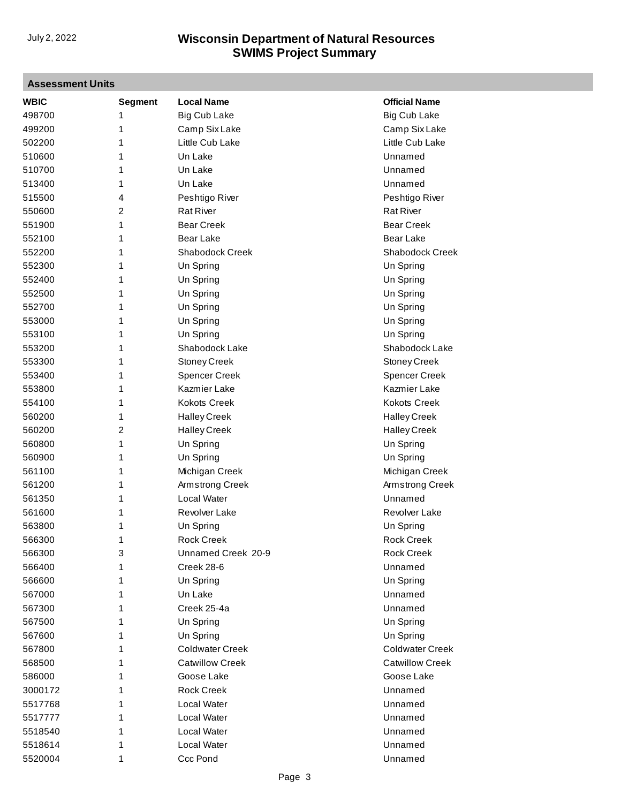# **Assessment Units**

| <b>WBIC</b> | Segment        | <b>Local Name</b>      | <b>Official Name</b>   |
|-------------|----------------|------------------------|------------------------|
| 498700      | 1              | <b>Big Cub Lake</b>    | <b>Big Cub Lake</b>    |
| 499200      | 1              | Camp Six Lake          | Camp Six Lake          |
| 502200      | 1              | Little Cub Lake        | Little Cub Lake        |
| 510600      | 1              | Un Lake                | Unnamed                |
| 510700      | 1              | Un Lake                | Unnamed                |
| 513400      | 1              | Un Lake                | Unnamed                |
| 515500      | 4              | Peshtigo River         | Peshtigo River         |
| 550600      | 2              | <b>Rat River</b>       | <b>Rat River</b>       |
| 551900      | 1              | <b>Bear Creek</b>      | <b>Bear Creek</b>      |
| 552100      | 1              | <b>Bear Lake</b>       | <b>Bear Lake</b>       |
| 552200      | 1              | Shabodock Creek        | Shabodock Creek        |
| 552300      | 1              | Un Spring              | Un Spring              |
| 552400      | 1              | Un Spring              | Un Spring              |
| 552500      | 1              | Un Spring              | Un Spring              |
| 552700      | 1              | Un Spring              | Un Spring              |
| 553000      | 1              | Un Spring              | Un Spring              |
| 553100      | 1              | Un Spring              | Un Spring              |
| 553200      | 1              | Shabodock Lake         | Shabodock Lake         |
| 553300      | 1              | <b>Stoney Creek</b>    | <b>Stoney Creek</b>    |
| 553400      | 1              | <b>Spencer Creek</b>   | <b>Spencer Creek</b>   |
| 553800      | 1              | Kazmier Lake           | Kazmier Lake           |
| 554100      | 1              | <b>Kokots Creek</b>    | <b>Kokots Creek</b>    |
| 560200      | 1              | <b>Halley Creek</b>    | <b>Halley Creek</b>    |
| 560200      | $\overline{c}$ | <b>Halley Creek</b>    | <b>Halley Creek</b>    |
| 560800      | 1              | Un Spring              | Un Spring              |
| 560900      | 1              | Un Spring              | Un Spring              |
| 561100      | 1              | Michigan Creek         | Michigan Creek         |
| 561200      | 1              | Armstrong Creek        | Armstrong Creek        |
| 561350      | 1              | Local Water            | Unnamed                |
| 561600      | 1              | Revolver Lake          | <b>Revolver Lake</b>   |
| 563800      | 1              | Un Spring              | Un Spring              |
| 566300      | 1              | <b>Rock Creek</b>      | <b>Rock Creek</b>      |
| 566300      | 3              | Unnamed Creek 20-9     | <b>Rock Creek</b>      |
| 566400      | 1              | Creek 28-6             | Unnamed                |
| 566600      | 1              | Un Spring              | Un Spring              |
| 567000      | 1              | Un Lake                | Unnamed                |
| 567300      | 1              | Creek 25-4a            | Unnamed                |
| 567500      | 1              | Un Spring              | Un Spring              |
| 567600      | 1              | Un Spring              | Un Spring              |
| 567800      | 1              | <b>Coldwater Creek</b> | <b>Coldwater Creek</b> |
| 568500      | 1              | <b>Catwillow Creek</b> | <b>Catwillow Creek</b> |
| 586000      | 1              | Goose Lake             | Goose Lake             |
| 3000172     | 1              | <b>Rock Creek</b>      | Unnamed                |
| 5517768     | 1              | Local Water            | Unnamed                |
| 5517777     | 1              | Local Water            | Unnamed                |
| 5518540     | 1              | Local Water            | Unnamed                |
| 5518614     | 1              | Local Water            | Unnamed                |
| 5520004     | 1              | Ccc Pond               | Unnamed                |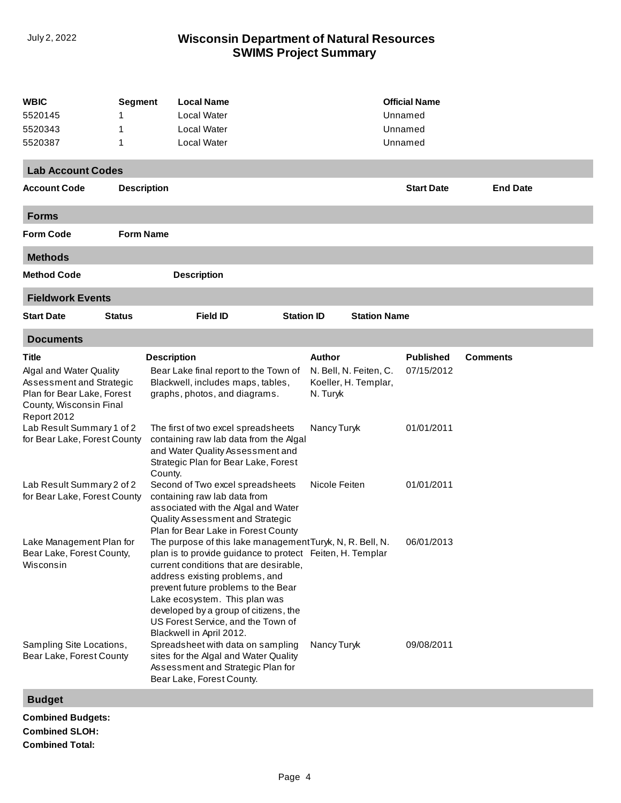### **SWIMS Project Summary** July 2, 2022 **Wisconsin Department of Natural Resources**

| <b>WBIC</b><br><b>Segment</b>                                                                                               |                  | <b>Local Name</b>                                                                                                                                                                                                                                                                                                                                                                     |                                                                                                                                |               |                                                | <b>Official Name</b> |          |  |  |  |
|-----------------------------------------------------------------------------------------------------------------------------|------------------|---------------------------------------------------------------------------------------------------------------------------------------------------------------------------------------------------------------------------------------------------------------------------------------------------------------------------------------------------------------------------------------|--------------------------------------------------------------------------------------------------------------------------------|---------------|------------------------------------------------|----------------------|----------|--|--|--|
| 5520145                                                                                                                     | 1                | Local Water                                                                                                                                                                                                                                                                                                                                                                           |                                                                                                                                |               | Unnamed                                        |                      |          |  |  |  |
| 5520343                                                                                                                     | 1                | <b>Local Water</b>                                                                                                                                                                                                                                                                                                                                                                    |                                                                                                                                |               |                                                | Unnamed              |          |  |  |  |
| 5520387                                                                                                                     | 1                | Local Water                                                                                                                                                                                                                                                                                                                                                                           |                                                                                                                                |               |                                                | Unnamed              |          |  |  |  |
| <b>Lab Account Codes</b>                                                                                                    |                  |                                                                                                                                                                                                                                                                                                                                                                                       |                                                                                                                                |               |                                                |                      |          |  |  |  |
|                                                                                                                             |                  |                                                                                                                                                                                                                                                                                                                                                                                       |                                                                                                                                |               |                                                |                      |          |  |  |  |
| <b>Start Date</b><br><b>End Date</b><br><b>Account Code</b><br><b>Description</b>                                           |                  |                                                                                                                                                                                                                                                                                                                                                                                       |                                                                                                                                |               |                                                |                      |          |  |  |  |
| <b>Forms</b>                                                                                                                |                  |                                                                                                                                                                                                                                                                                                                                                                                       |                                                                                                                                |               |                                                |                      |          |  |  |  |
| <b>Form Code</b>                                                                                                            | <b>Form Name</b> |                                                                                                                                                                                                                                                                                                                                                                                       |                                                                                                                                |               |                                                |                      |          |  |  |  |
| <b>Methods</b>                                                                                                              |                  |                                                                                                                                                                                                                                                                                                                                                                                       |                                                                                                                                |               |                                                |                      |          |  |  |  |
| <b>Method Code</b>                                                                                                          |                  | <b>Description</b>                                                                                                                                                                                                                                                                                                                                                                    |                                                                                                                                |               |                                                |                      |          |  |  |  |
| <b>Fieldwork Events</b>                                                                                                     |                  |                                                                                                                                                                                                                                                                                                                                                                                       |                                                                                                                                |               |                                                |                      |          |  |  |  |
| <b>Start Date</b>                                                                                                           | <b>Status</b>    | <b>Field ID</b>                                                                                                                                                                                                                                                                                                                                                                       | <b>Station ID</b>                                                                                                              |               | <b>Station Name</b>                            |                      |          |  |  |  |
| <b>Documents</b>                                                                                                            |                  |                                                                                                                                                                                                                                                                                                                                                                                       |                                                                                                                                |               |                                                |                      |          |  |  |  |
| Title                                                                                                                       |                  | <b>Description</b>                                                                                                                                                                                                                                                                                                                                                                    |                                                                                                                                | Author        |                                                | <b>Published</b>     | Comments |  |  |  |
| Algal and Water Quality<br>Assessment and Strategic<br>Plan for Bear Lake, Forest<br>County, Wisconsin Final<br>Report 2012 |                  | Bear Lake final report to the Town of<br>Blackwell, includes maps, tables,<br>graphs, photos, and diagrams.                                                                                                                                                                                                                                                                           |                                                                                                                                | N. Turyk      | N. Bell, N. Feiten, C.<br>Koeller, H. Templar, | 07/15/2012           |          |  |  |  |
| Lab Result Summary 1 of 2<br>for Bear Lake, Forest County                                                                   |                  | The first of two excel spreadsheets<br>containing raw lab data from the Algal<br>and Water Quality Assessment and<br>Strategic Plan for Bear Lake, Forest<br>County.                                                                                                                                                                                                                  |                                                                                                                                | Nancy Turyk   |                                                | 01/01/2011           |          |  |  |  |
| Lab Result Summary 2 of 2<br>for Bear Lake, Forest County                                                                   |                  | Second of Two excel spreadsheets<br>containing raw lab data from<br>associated with the Algal and Water<br>Quality Assessment and Strategic<br>Plan for Bear Lake in Forest County                                                                                                                                                                                                    |                                                                                                                                | Nicole Feiten |                                                | 01/01/2011           |          |  |  |  |
| Lake Management Plan for<br>Bear Lake, Forest County,<br>Wisconsin                                                          |                  | The purpose of this lake management Turyk, N, R. Bell, N.<br>plan is to provide guidance to protect Feiten, H. Templar<br>current conditions that are desirable,<br>address existing problems, and<br>prevent future problems to the Bear<br>Lake ecosystem. This plan was<br>developed by a group of citizens, the<br>US Forest Service, and the Town of<br>Blackwell in April 2012. |                                                                                                                                |               |                                                | 06/01/2013           |          |  |  |  |
| Sampling Site Locations,<br>Bear Lake, Forest County                                                                        |                  | Bear Lake, Forest County.                                                                                                                                                                                                                                                                                                                                                             | Spreadsheet with data on sampling<br>Nancy Turyk<br>sites for the Algal and Water Quality<br>Assessment and Strategic Plan for |               |                                                | 09/08/2011           |          |  |  |  |
| <b>Budget</b>                                                                                                               |                  |                                                                                                                                                                                                                                                                                                                                                                                       |                                                                                                                                |               |                                                |                      |          |  |  |  |

**Combined Budgets: Combined SLOH: Combined Total:**